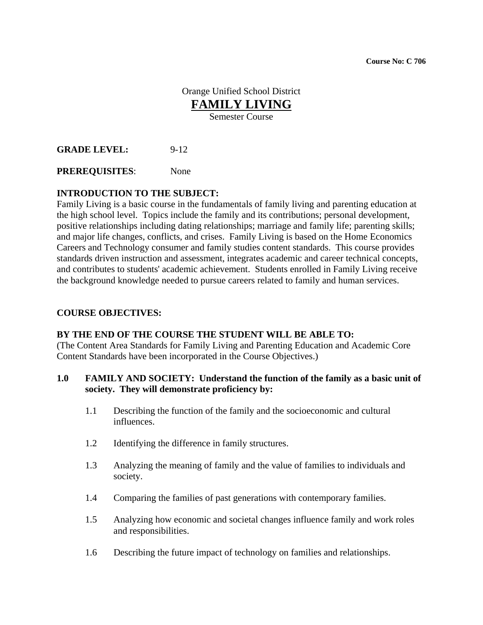**Course No: C 706** 

Orange Unified School District **FAMILY LIVING**

Semester Course

**GRADE LEVEL:** 9-12

**PREREQUISITES**: None

#### **INTRODUCTION TO THE SUBJECT:**

Family Living is a basic course in the fundamentals of family living and parenting education at the high school level. Topics include the family and its contributions; personal development, positive relationships including dating relationships; marriage and family life; parenting skills; and major life changes, conflicts, and crises. Family Living is based on the Home Economics Careers and Technology consumer and family studies content standards. This course provides standards driven instruction and assessment, integrates academic and career technical concepts, and contributes to students' academic achievement. Students enrolled in Family Living receive the background knowledge needed to pursue careers related to family and human services.

#### **COURSE OBJECTIVES:**

#### **BY THE END OF THE COURSE THE STUDENT WILL BE ABLE TO:**

(The Content Area Standards for Family Living and Parenting Education and Academic Core Content Standards have been incorporated in the Course Objectives.)

#### **1.0 FAMILY AND SOCIETY: Understand the function of the family as a basic unit of society. They will demonstrate proficiency by:**

- 1.1 Describing the function of the family and the socioeconomic and cultural influences.
- 1.2 Identifying the difference in family structures.
- 1.3 Analyzing the meaning of family and the value of families to individuals and society.
- 1.4 Comparing the families of past generations with contemporary families.
- 1.5 Analyzing how economic and societal changes influence family and work roles and responsibilities.
- 1.6 Describing the future impact of technology on families and relationships.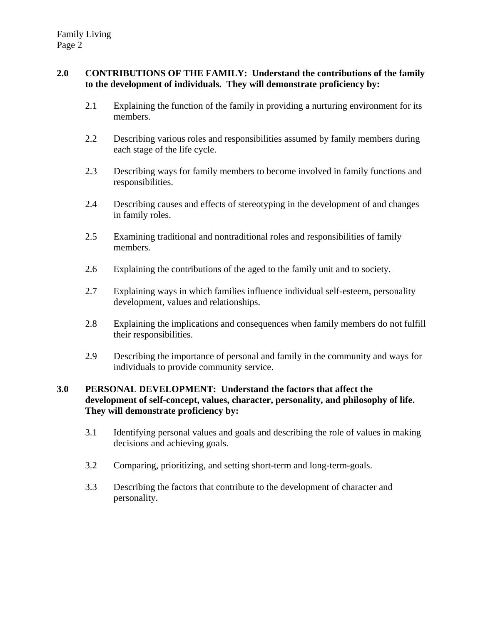### **2.0 CONTRIBUTIONS OF THE FAMILY: Understand the contributions of the family to the development of individuals. They will demonstrate proficiency by:**

- 2.1 Explaining the function of the family in providing a nurturing environment for its members.
- 2.2 Describing various roles and responsibilities assumed by family members during each stage of the life cycle.
- 2.3 Describing ways for family members to become involved in family functions and responsibilities.
- 2.4 Describing causes and effects of stereotyping in the development of and changes in family roles.
- 2.5 Examining traditional and nontraditional roles and responsibilities of family members.
- 2.6 Explaining the contributions of the aged to the family unit and to society.
- 2.7 Explaining ways in which families influence individual self-esteem, personality development, values and relationships.
- 2.8 Explaining the implications and consequences when family members do not fulfill their responsibilities.
- 2.9 Describing the importance of personal and family in the community and ways for individuals to provide community service.

# **3.0 PERSONAL DEVELOPMENT: Understand the factors that affect the development of self-concept, values, character, personality, and philosophy of life. They will demonstrate proficiency by:**

- 3.1 Identifying personal values and goals and describing the role of values in making decisions and achieving goals.
- 3.2 Comparing, prioritizing, and setting short-term and long-term-goals.
- 3.3 Describing the factors that contribute to the development of character and personality.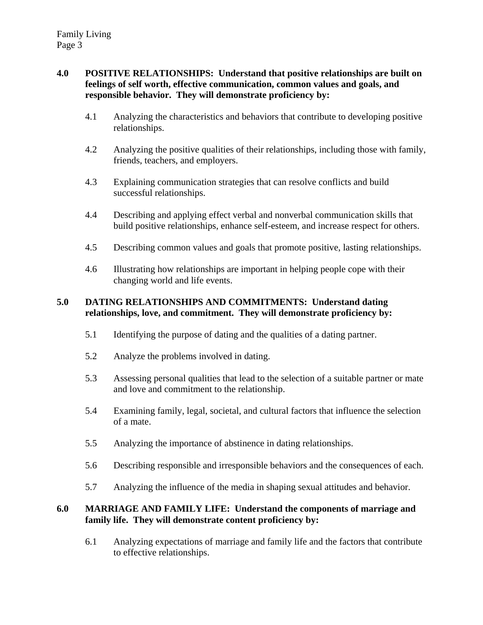## **4.0 POSITIVE RELATIONSHIPS: Understand that positive relationships are built on feelings of self worth, effective communication, common values and goals, and responsible behavior. They will demonstrate proficiency by:**

- 4.1 Analyzing the characteristics and behaviors that contribute to developing positive relationships.
- 4.2 Analyzing the positive qualities of their relationships, including those with family, friends, teachers, and employers.
- 4.3 Explaining communication strategies that can resolve conflicts and build successful relationships.
- 4.4 Describing and applying effect verbal and nonverbal communication skills that build positive relationships, enhance self-esteem, and increase respect for others.
- 4.5 Describing common values and goals that promote positive, lasting relationships.
- 4.6 Illustrating how relationships are important in helping people cope with their changing world and life events.

# **5.0 DATING RELATIONSHIPS AND COMMITMENTS: Understand dating relationships, love, and commitment. They will demonstrate proficiency by:**

- 5.1 Identifying the purpose of dating and the qualities of a dating partner.
- 5.2 Analyze the problems involved in dating.
- 5.3 Assessing personal qualities that lead to the selection of a suitable partner or mate and love and commitment to the relationship.
- 5.4 Examining family, legal, societal, and cultural factors that influence the selection of a mate.
- 5.5 Analyzing the importance of abstinence in dating relationships.
- 5.6 Describing responsible and irresponsible behaviors and the consequences of each.
- 5.7 Analyzing the influence of the media in shaping sexual attitudes and behavior.

#### **6.0 MARRIAGE AND FAMILY LIFE: Understand the components of marriage and family life. They will demonstrate content proficiency by:**

6.1 Analyzing expectations of marriage and family life and the factors that contribute to effective relationships.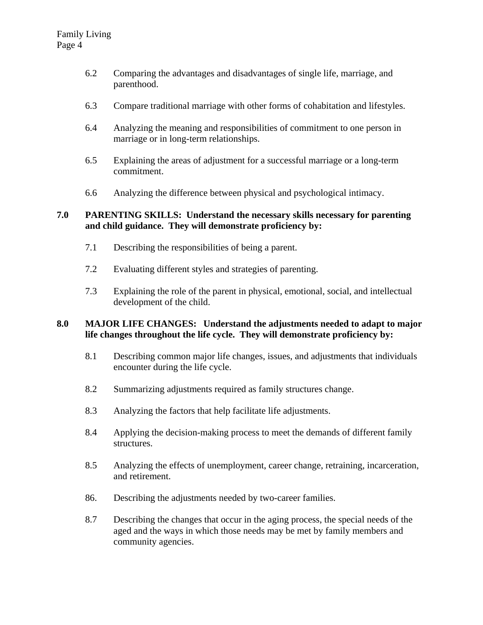- 6.2 Comparing the advantages and disadvantages of single life, marriage, and parenthood.
- 6.3 Compare traditional marriage with other forms of cohabitation and lifestyles.
- 6.4 Analyzing the meaning and responsibilities of commitment to one person in marriage or in long-term relationships.
- 6.5 Explaining the areas of adjustment for a successful marriage or a long-term commitment.
- 6.6 Analyzing the difference between physical and psychological intimacy.

# **7.0 PARENTING SKILLS: Understand the necessary skills necessary for parenting and child guidance. They will demonstrate proficiency by:**

- 7.1 Describing the responsibilities of being a parent.
- 7.2 Evaluating different styles and strategies of parenting.
- 7.3 Explaining the role of the parent in physical, emotional, social, and intellectual development of the child.

# **8.0 MAJOR LIFE CHANGES: Understand the adjustments needed to adapt to major life changes throughout the life cycle. They will demonstrate proficiency by:**

- 8.1 Describing common major life changes, issues, and adjustments that individuals encounter during the life cycle.
- 8.2 Summarizing adjustments required as family structures change.
- 8.3 Analyzing the factors that help facilitate life adjustments.
- 8.4 Applying the decision-making process to meet the demands of different family structures.
- 8.5 Analyzing the effects of unemployment, career change, retraining, incarceration, and retirement.
- 86. Describing the adjustments needed by two-career families.
- 8.7 Describing the changes that occur in the aging process, the special needs of the aged and the ways in which those needs may be met by family members and community agencies.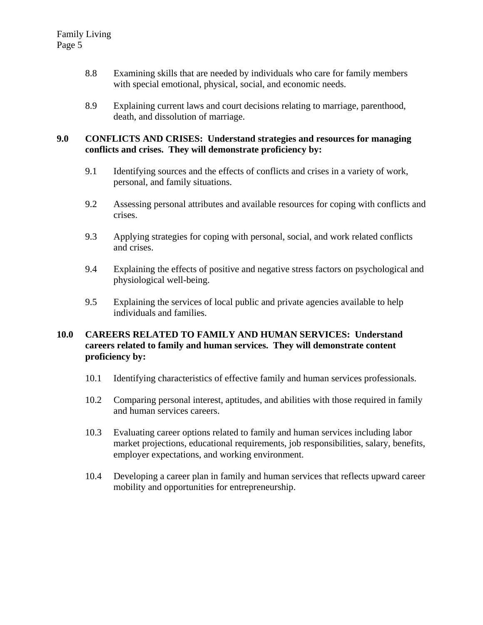- 8.8 Examining skills that are needed by individuals who care for family members with special emotional, physical, social, and economic needs.
- 8.9 Explaining current laws and court decisions relating to marriage, parenthood, death, and dissolution of marriage.

#### **9.0 CONFLICTS AND CRISES: Understand strategies and resources for managing conflicts and crises. They will demonstrate proficiency by:**

- 9.1 Identifying sources and the effects of conflicts and crises in a variety of work, personal, and family situations.
- 9.2 Assessing personal attributes and available resources for coping with conflicts and crises.
- 9.3 Applying strategies for coping with personal, social, and work related conflicts and crises.
- 9.4 Explaining the effects of positive and negative stress factors on psychological and physiological well-being.
- 9.5 Explaining the services of local public and private agencies available to help individuals and families.

# **10.0 CAREERS RELATED TO FAMILY AND HUMAN SERVICES: Understand careers related to family and human services. They will demonstrate content proficiency by:**

- 10.1 Identifying characteristics of effective family and human services professionals.
- 10.2 Comparing personal interest, aptitudes, and abilities with those required in family and human services careers.
- 10.3 Evaluating career options related to family and human services including labor market projections, educational requirements, job responsibilities, salary, benefits, employer expectations, and working environment.
- 10.4 Developing a career plan in family and human services that reflects upward career mobility and opportunities for entrepreneurship.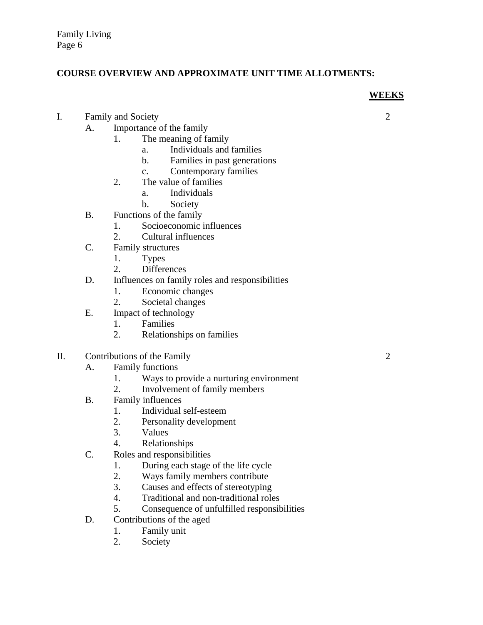### **COURSE OVERVIEW AND APPROXIMATE UNIT TIME ALLOTMENTS:**

### **WEEKS**

- I. Family and Society 2
	- A. Importance of the family
		- 1. The meaning of family
			- a. Individuals and families
			- b. Families in past generations
			- c. Contemporary families
		- 2. The value of families
			- a. Individuals
			- b. Society
	- B. Functions of the family
		- 1. Socioeconomic influences
		- 2. Cultural influences
	- C. Family structures
		- 1. Types
		- 2. Differences
	- D. Influences on family roles and responsibilities
		- 1. Economic changes
		- 2. Societal changes
	- E. Impact of technology
		- 1. Families
		- 2. Relationships on families
- II. Contributions of the Family 2
	- A. Family functions
		- 1. Ways to provide a nurturing environment
		- 2. Involvement of family members
	- B. Family influences
		- 1. Individual self-esteem
		- 2. Personality development
		- 3. Values
		-
	- 4. Relationships<br>C. Roles and responsibil Roles and responsibilities
		- 1. During each stage of the life cycle
		- 2. Ways family members contribute
		- 3. Causes and effects of stereotyping
		- 4. Traditional and non-traditional roles
		- 5. Consequence of unfulfilled responsibilities
	- D. Contributions of the aged
		- 1. Family unit
		- 2. Society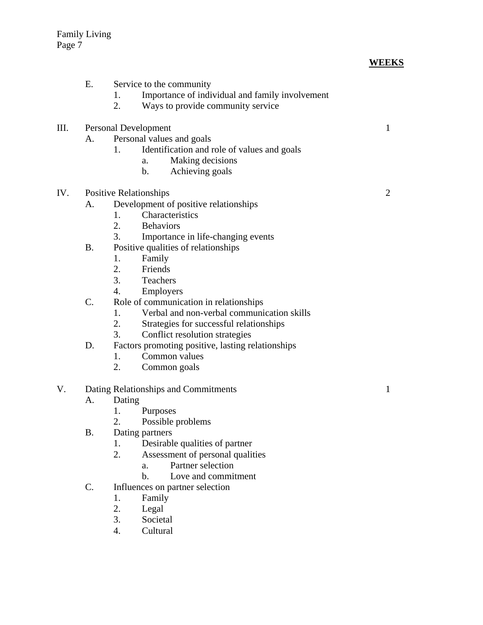|     | Ε.             | Service to the community<br>Importance of individual and family involvement<br>1.<br>2.<br>Ways to provide community service                                                        |                |
|-----|----------------|-------------------------------------------------------------------------------------------------------------------------------------------------------------------------------------|----------------|
| Ш.  | A.             | <b>Personal Development</b><br>Personal values and goals<br>Identification and role of values and goals<br>1.<br>Making decisions<br>a.<br>Achieving goals<br>b.                    | $\mathbf{1}$   |
| IV. | A.             | <b>Positive Relationships</b><br>Development of positive relationships<br>Characteristics<br>1.<br>2.<br><b>Behaviors</b><br>3.<br>Importance in life-changing events               | $\overline{2}$ |
|     | <b>B.</b>      | Positive qualities of relationships<br>Family<br>1.<br>2.<br>Friends<br>3. Teachers<br>4.<br>Employers                                                                              |                |
|     | C.             | Role of communication in relationships<br>Verbal and non-verbal communication skills<br>1.<br>2.<br>Strategies for successful relationships<br>3.<br>Conflict resolution strategies |                |
|     | D.             | Factors promoting positive, lasting relationships<br>Common values<br>1.<br>2.<br>Common goals                                                                                      |                |
| V.  |                | Dating Relationships and Commitments                                                                                                                                                | 1              |
|     | А.             | Dating<br>1.<br>Purposes<br>2.<br>Possible problems                                                                                                                                 |                |
|     | <b>B.</b>      | Dating partners<br>Desirable qualities of partner<br>1.<br>2.<br>Assessment of personal qualities<br>Partner selection<br>a.<br>Love and commitment<br>$\mathbf{b}$ .               |                |
|     | $\mathsf{C}$ . | Influences on partner selection<br>1.<br>Family<br>2.<br>Legal<br>3.<br>Societal<br>4.<br>Cultural                                                                                  |                |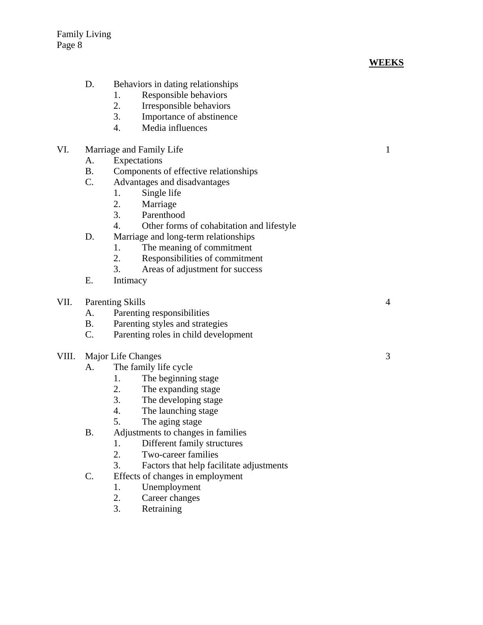# **WEEKS**

|       | D.                                        | Behaviors in dating relationships               |   |
|-------|-------------------------------------------|-------------------------------------------------|---|
|       |                                           | Responsible behaviors<br>1.                     |   |
|       |                                           | 2.<br>Irresponsible behaviors                   |   |
|       |                                           | 3.<br>Importance of abstinence                  |   |
|       |                                           | 4.<br>Media influences                          |   |
| VI.   | Marriage and Family Life                  |                                                 |   |
|       | А.                                        | Expectations                                    |   |
|       | <b>B.</b>                                 | Components of effective relationships           |   |
|       | $C_{\cdot}$                               | Advantages and disadvantages                    |   |
|       |                                           | 1.<br>Single life                               |   |
|       |                                           | 2.<br>Marriage                                  |   |
|       |                                           | 3.<br>Parenthood                                |   |
|       |                                           | 4.<br>Other forms of cohabitation and lifestyle |   |
|       | D.                                        | Marriage and long-term relationships            |   |
|       |                                           | The meaning of commitment<br>1.                 |   |
|       |                                           | 2.<br>Responsibilities of commitment            |   |
|       |                                           | 3.<br>Areas of adjustment for success           |   |
|       | Ε.                                        | Intimacy                                        |   |
| VII.  | <b>Parenting Skills</b><br>$\overline{4}$ |                                                 |   |
|       | A.                                        | Parenting responsibilities                      |   |
|       | B.                                        | Parenting styles and strategies                 |   |
|       | $C_{\cdot}$                               | Parenting roles in child development            |   |
| VIII. |                                           | Major Life Changes                              | 3 |
|       | A.                                        | The family life cycle                           |   |
|       |                                           | 1.<br>The beginning stage                       |   |
|       |                                           | 2.<br>The expanding stage                       |   |
|       |                                           | 3.<br>The developing stage                      |   |
|       |                                           | 4.<br>The launching stage                       |   |
|       |                                           | 5.<br>The aging stage                           |   |
|       | <b>B.</b>                                 | Adjustments to changes in families              |   |
|       |                                           | Different family structures<br>1.               |   |
|       |                                           | 2.<br>Two-career families                       |   |
|       |                                           | 3.<br>Factors that help facilitate adjustments  |   |
|       | C.                                        | Effects of changes in employment                |   |
|       |                                           | 1.<br>Unemployment                              |   |
|       |                                           | 2.<br>Career changes                            |   |
|       |                                           | Retraining<br>3.                                |   |
|       |                                           |                                                 |   |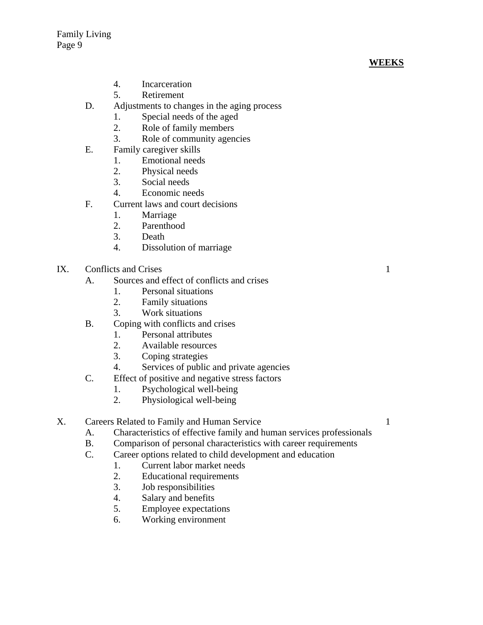# **WEEKS**

- 4. Incarceration
- 5. Retirement
- D. Adjustments to changes in the aging process
	- 1. Special needs of the aged
	- 2. Role of family members
	- 3. Role of community agencies
- E. Family caregiver skills
	- 1. Emotional needs
	- 2. Physical needs
	- 3. Social needs
	- 4. Economic needs
- F. Current laws and court decisions
	- 1. Marriage
		- 2. Parenthood
		- 3. Death
		- 4. Dissolution of marriage
- IX. Conflicts and Crises 1
	- A. Sources and effect of conflicts and crises
		- 1. Personal situations
		- 2. Family situations
		- 3. Work situations
	- B. Coping with conflicts and crises
		- 1. Personal attributes
		- 2. Available resources
		- 3. Coping strategies
		- 4. Services of public and private agencies
	- C. Effect of positive and negative stress factors
		- 1. Psychological well-being
		- 2. Physiological well-being
- X. Careers Related to Family and Human Service 1
	- A. Characteristics of effective family and human services professionals
	- B. Comparison of personal characteristics with career requirements
	- C. Career options related to child development and education
		- 1. Current labor market needs
			- 2. Educational requirements
			- 3. Job responsibilities
			- 4. Salary and benefits
			- 5. Employee expectations
			- 6. Working environment